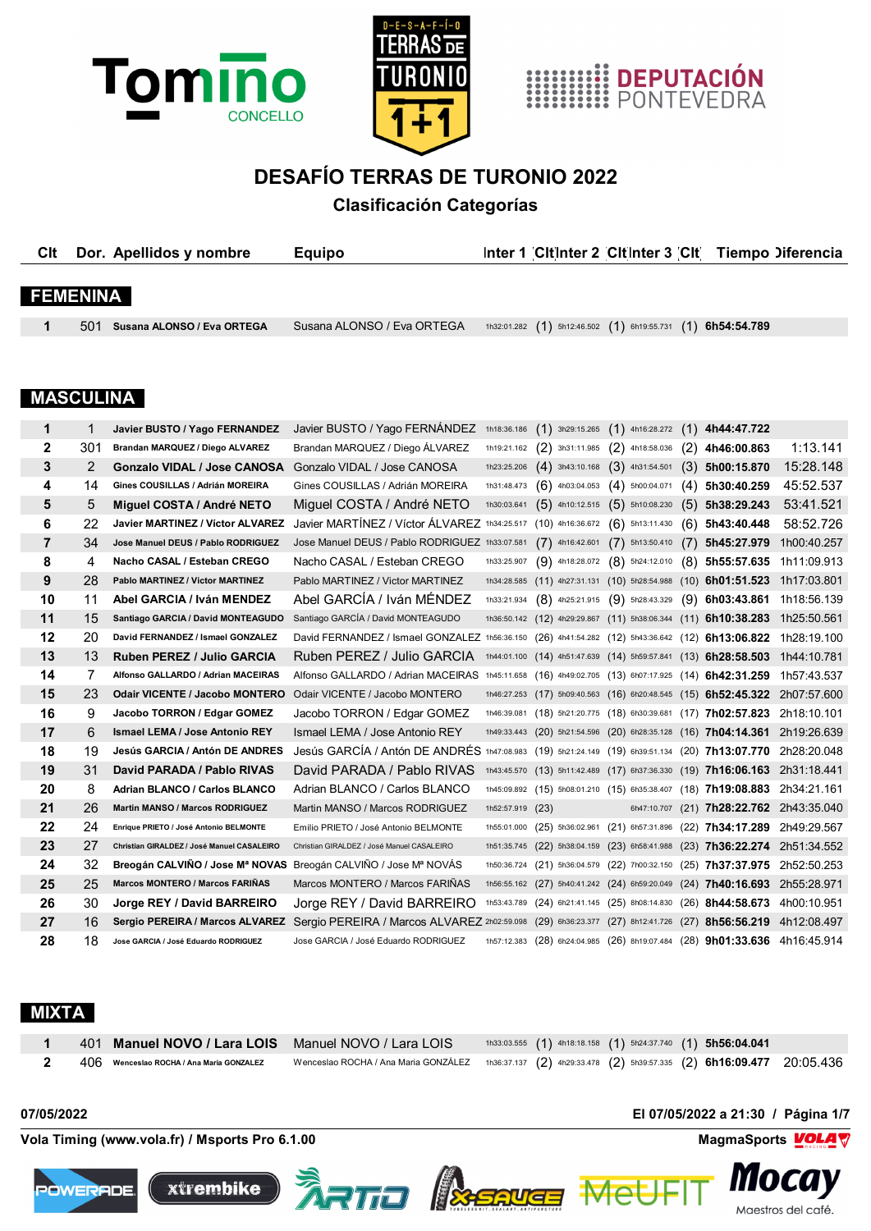





## **DESAFÍO TERRAS DE TURONIO 2022**

## **Clasificación Categorías**

| <b>C</b> It      |     | Dor. Apellidos y nombre                 | <b>Equipo</b>                                                                                                       |                   |                   | Inter 1 Citinter 2 Citinter 3 Cit                              |     |                   | Tiempo Diferencia |
|------------------|-----|-----------------------------------------|---------------------------------------------------------------------------------------------------------------------|-------------------|-------------------|----------------------------------------------------------------|-----|-------------------|-------------------|
|                  |     |                                         |                                                                                                                     |                   |                   |                                                                |     |                   |                   |
| <b>FEMENINA</b>  |     |                                         |                                                                                                                     |                   |                   |                                                                |     |                   |                   |
|                  |     |                                         |                                                                                                                     |                   |                   |                                                                |     |                   |                   |
| 1                | 501 | Susana ALONSO / Eva ORTEGA              | Susana ALONSO / Eva ORTEGA                                                                                          | 1h32:01.282       |                   | $(1)$ 5h12:46.502 $(1)$ 6h19:55.731 $(1)$                      |     | 6h54:54.789       |                   |
|                  |     |                                         |                                                                                                                     |                   |                   |                                                                |     |                   |                   |
|                  |     |                                         |                                                                                                                     |                   |                   |                                                                |     |                   |                   |
| <b>MASCULINA</b> |     |                                         |                                                                                                                     |                   |                   |                                                                |     |                   |                   |
|                  |     |                                         |                                                                                                                     |                   |                   |                                                                |     |                   |                   |
| 1                | 1   | Javier BUSTO / Yago FERNANDEZ           | Javier BUSTO / Yago FERNANDEZ                                                                                       | 1h18:36.186       | (1)               | $3h29:15.265$ $(1)$ 4h16:28.272 $(1)$                          |     | 4h44:47.722       |                   |
| $\mathbf{2}$     | 301 | Brandan MARQUEZ / Diego ALVAREZ         | Brandan MARQUEZ / Diego ÁLVAREZ                                                                                     | 1h19:21.162 $(2)$ | 3h31:11.985       | $(2)$ 4h18:58.036                                              | (2) | 4h46:00.863       | 1:13.141          |
| 3                | 2   | <b>Gonzalo VIDAL / Jose CANOSA</b>      | Gonzalo VIDAL / Jose CANOSA                                                                                         | 1h23:25.206       | $(4)$ 3h43:10.168 | $(3)$ 4h31:54.501                                              | (3) | 5h00:15.870       | 15:28.148         |
| 4                | 14  | Gines COUSILLAS / Adrián MOREIRA        | Gines COUSILLAS / Adrián MOREIRA                                                                                    | 1h31:48.473       | $(6)$ 4h03:04.053 | $(4)$ 5h00:04.071                                              | (4) | 5h30:40.259       | 45:52.537         |
| 5                | 5   | Miguel COSTA / André NETO               | Miguel COSTA / André NETO                                                                                           | 1h30:03.641       |                   | $(5)$ 4h10:12.515 $(5)$ 5h10:08.230                            |     | $(5)$ 5h38:29.243 | 53:41.521         |
| 6                | 22  | <b>Javier MARTINEZ / Víctor ALVAREZ</b> | Javier MARTÍNEZ / Víctor ÁLVAREZ 1h34:25.517 (10) 4h16:36.672 (6) 5h13:11.430                                       |                   |                   |                                                                | (6) | 5h43:40.448       | 58:52.726         |
| $\overline{7}$   | 34  | Jose Manuel DEUS / Pablo RODRIGUEZ      | Jose Manuel DEUS / Pablo RODRIGUEZ 1h33:07.581                                                                      |                   | $(7)$ 4h16:42.601 | $(7)$ 5h13:50.410                                              | (7) | 5h45:27.979       | 1h00:40.257       |
| 8                | 4   | Nacho CASAL / Esteban CREGO             | Nacho CASAL / Esteban CREGO                                                                                         | 1h33:25.907       | $(9)$ 4h18:28.072 | $(8)$ 5h24:12.010                                              |     | $(8)$ 5h55:57.635 | 1h11:09.913       |
| 9                | 28  | Pablo MARTINEZ / Victor MARTINEZ        | Pablo MARTINEZ / Victor MARTINEZ                                                                                    |                   |                   | 1h34:28.585 (11) 4h27:31.131 (10) 5h28:54.988 (10) 6h01:51.523 |     |                   | 1h17:03.801       |
| 10               | 11  | Abel GARCIA / Iván MENDEZ               | Abel GARCÍA / Iván MÉNDEZ                                                                                           | 1h33:21.934       |                   | $(8)$ 4h25:21.915 $(9)$ 5h28:43.329                            |     | $(9)$ 6h03:43.861 | 1h18:56.139       |
| 11               | 15  | Santiago GARCIA / David MONTEAGUDO      | Santiago GARCÍA / David MONTEAGUDO                                                                                  |                   |                   | 1h36:50.142 (12) 4h29:29.867 (11) 5h38:06.344 (11) 6h10:38.283 |     |                   | 1h25:50.561       |
| 12               | 20. | David FERNANDEZ / Ismael GONZALEZ       | David FERNANDEZ / Ismael GONZALEZ 1556:36.150 (26) 4541:54.282 (12) 5543:36.642 (12) <b>6513:06.822 1528:10 100</b> |                   |                   |                                                                |     |                   |                   |

| 8  | 4  | Nacho CASAL / Esteban CREGO                                     | Nacho CASAL / Esteban CREGO                                                                       | 1h33:25.907      |                                     |  | $(9)$ 4h18:28.072 $(8)$ 5h24:12.010 $(8)$ 5h55:57.635                      | 1h11:09.913 |
|----|----|-----------------------------------------------------------------|---------------------------------------------------------------------------------------------------|------------------|-------------------------------------|--|----------------------------------------------------------------------------|-------------|
| 9  | 28 | Pablo MARTINEZ / Victor MARTINEZ                                | Pablo MARTINEZ / Victor MARTINEZ                                                                  |                  |                                     |  | 1h34:28.585 (11) 4h27:31.131 (10) 5h28:54.988 (10) 6h01:51.523             | 1h17:03.801 |
| 10 | 11 | Abel GARCIA / Iván MENDEZ                                       | Abel GARCÍA / Iván MÉNDEZ                                                                         | 1h33:21.934      | $(8)$ 4h25:21.915 $(9)$ 5h28:43.329 |  | $(9)$ 6h03:43.861                                                          | 1h18:56.139 |
| 11 | 15 | Santiago GARCIA / David MONTEAGUDO                              | Santiago GARCÍA / David MONTEAGUDO                                                                |                  |                                     |  | 1h36:50.142 (12) 4h29:29.867 (11) 5h38:06.344 (11) 6h10:38.283             | 1h25:50.561 |
| 12 | 20 | David FERNANDEZ / Ismael GONZALEZ                               | David FERNANDEZ / Ismael GONZALEZ 1h56:36.150 (26) 4h41:54.282 (12) 5h43:36.642 (12) 6h13:06.822  |                  |                                     |  |                                                                            | 1h28:19.100 |
| 13 | 13 | <b>Ruben PEREZ / Julio GARCIA</b>                               | Ruben PEREZ / Julio GARCIA                                                                        |                  |                                     |  | 1h44:01.100 (14) 4h51:47.639 (14) 5h59:57.841 (13) 6h28:58.503             | 1h44:10.781 |
| 14 |    | Alfonso GALLARDO / Adrian MACEIRAS                              | Alfonso GALLARDO / Adrian MACEIRAS 1h45:11.658 (16) 4h49:02.705 (13) 6h07:17.925 (14) 6h42:31.259 |                  |                                     |  |                                                                            | 1h57:43.537 |
| 15 | 23 | <b>Odair VICENTE / Jacobo MONTERO</b>                           | Odair VICENTE / Jacobo MONTERO                                                                    |                  |                                     |  | 1h46:27.253 (17) 5h09:40.563 (16) 6h20:48.545 (15) 6h52:45.322             | 2h07:57.600 |
| 16 | 9  | Jacobo TORRON / Edgar GOMEZ                                     | Jacobo TORRON / Edgar GOMEZ                                                                       | 1h46:39.081      |                                     |  | $(18)$ 5h21:20.775 $(18)$ 6h30:39.681 $(17)$ 7h02:57.823                   | 2h18:10.101 |
| 17 | 6. | Ismael LEMA / Jose Antonio REY                                  | Ismael LEMA / Jose Antonio REY                                                                    |                  |                                     |  | 1h49:33.443 (20) 5h21:54.596 (20) 6h28:35.128 (16) 7h04:14.361 2h19:26.639 |             |
| 18 | 19 | Jesús GARCIA / Antón DE ANDRES                                  | Jesús GARCÍA / Antón DE ANDRÉS 1h47:08.983 (19) 5h21:24.149 (19) 6h39:51.134 (20) 7h13:07.770     |                  |                                     |  |                                                                            | 2h28:20.048 |
| 19 | 31 | David PARADA / Pablo RIVAS                                      | David PARADA / Pablo RIVAS                                                                        |                  |                                     |  | 1h43:45.570 (13) 5h11:42.489 (17) 6h37:36.330 (19) 7h16:06.163 2h31:18.441 |             |
| 20 | 8  | <b>Adrian BLANCO / Carlos BLANCO</b>                            | Adrian BLANCO / Carlos BLANCO                                                                     |                  |                                     |  | 1h45:09.892 (15) 5h08:01.210 (15) 6h35:38.407 (18) 7h19:08.883 2h34:21.161 |             |
| 21 | 26 | <b>Martin MANSO / Marcos RODRIGUEZ</b>                          | Martin MANSO / Marcos RODRIGUEZ                                                                   | 1h52:57.919 (23) |                                     |  | 6h47:10.707 (21) 7h28:22.762 2h43:35.040                                   |             |
| 22 | 24 | Enrique PRIETO / José Antonio BELMONTE                          | Emilio PRIETO / José Antonio BELMONTE                                                             |                  |                                     |  | 1h55:01.000 (25) 5h36:02.961 (21) 6h57:31.896 (22) 7h34:17.289             | 2h49:29.567 |
| 23 | 27 | Christian GIRALDEZ / José Manuel CASALEIRO                      | Christian GIRALDEZ / José Manuel CASALEIRO                                                        |                  |                                     |  | 1h51:35.745 (22) 5h38:04.159 (23) 6h58:41.988 (23) 7h36:22.274 2h51:34.552 |             |
| 24 | 32 | Breogán CALVIÑO / Jose Mª NOVAS Breogán CALVIÑO / Jose Mª NOVÁS |                                                                                                   |                  |                                     |  | 1h50:36.724 (21) 5h36:04.579 (22) 7h00:32.150 (25) 7h37:37.975             | 2h52:50.253 |
| 25 | 25 | <b>Marcos MONTERO / Marcos FARIÑAS</b>                          | Marcos MONTERO / Marcos FARIÑAS                                                                   |                  |                                     |  | 1h56:55.162 (27) 5h40:41.242 (24) 6h59:20.049 (24) 7h40:16.693             | 2h55:28.971 |
| 26 | 30 | Jorge REY / David BARREIRO                                      | Jorge REY / David BARREIRO                                                                        |                  |                                     |  | 1h53:43.789 (24) 6h21:41.145 (25) 8h08:14.830 (26) 8h44:58.673             | 4h00:10.951 |
| 27 | 16 | Sergio PEREIRA / Marcos ALVAREZ                                 | Sergio PEREIRA / Marcos ALVAREZ 2h02:59.098 (29) 6h36:23.377 (27) 8h12:41.726 (27) 8h56:56.219    |                  |                                     |  |                                                                            | 4h12:08.497 |
| 28 | 18 | Jose GARCIA / José Eduardo RODRIGUEZ                            | Jose GARCIA / José Eduardo RODRIGUEZ                                                              |                  |                                     |  | 1h57:12.383 (28) 6h24:04.985 (26) 8h19:07.484 (28) 9h01:33.636 4h16:45.914 |             |

#### **MIXTA**

|                                                            | 401 Manuel NOVO / Lara LOIS Manuel NOVO / Lara LOIS                                                        |  |  | $1h33:03.555$ (1) $4h18:18.158$ (1) $5h24:37.740$ (1) $5h56:04.041$ |  |
|------------------------------------------------------------|------------------------------------------------------------------------------------------------------------|--|--|---------------------------------------------------------------------|--|
| $\,2\,\,-\,\,406\,\,$ Wenceslao ROCHA / Ana Maria GONZALEZ | Wenceslao ROCHA / Ana Maria GONZÁLEZ 1h36:37.137 (2) 4h29:33.478 (2) 5h39:57.335 (2) 6h16:09.477 20:05.436 |  |  |                                                                     |  |

**Vola Timing (www.vola.fr) / Msports Pro 6.1.00 MagmaSports MagmaSports MagmaSports MagmaSports MagmaSports MagmaSports MagmaSports MagmaSports MagmaSports MagmaSports MagmaSports MagmaSports Mag** 







Mel

**07/05/2022 El 07/05/2022 a 21:30 / Página 1/7**



*III*ULU*J* 

Maestros del café.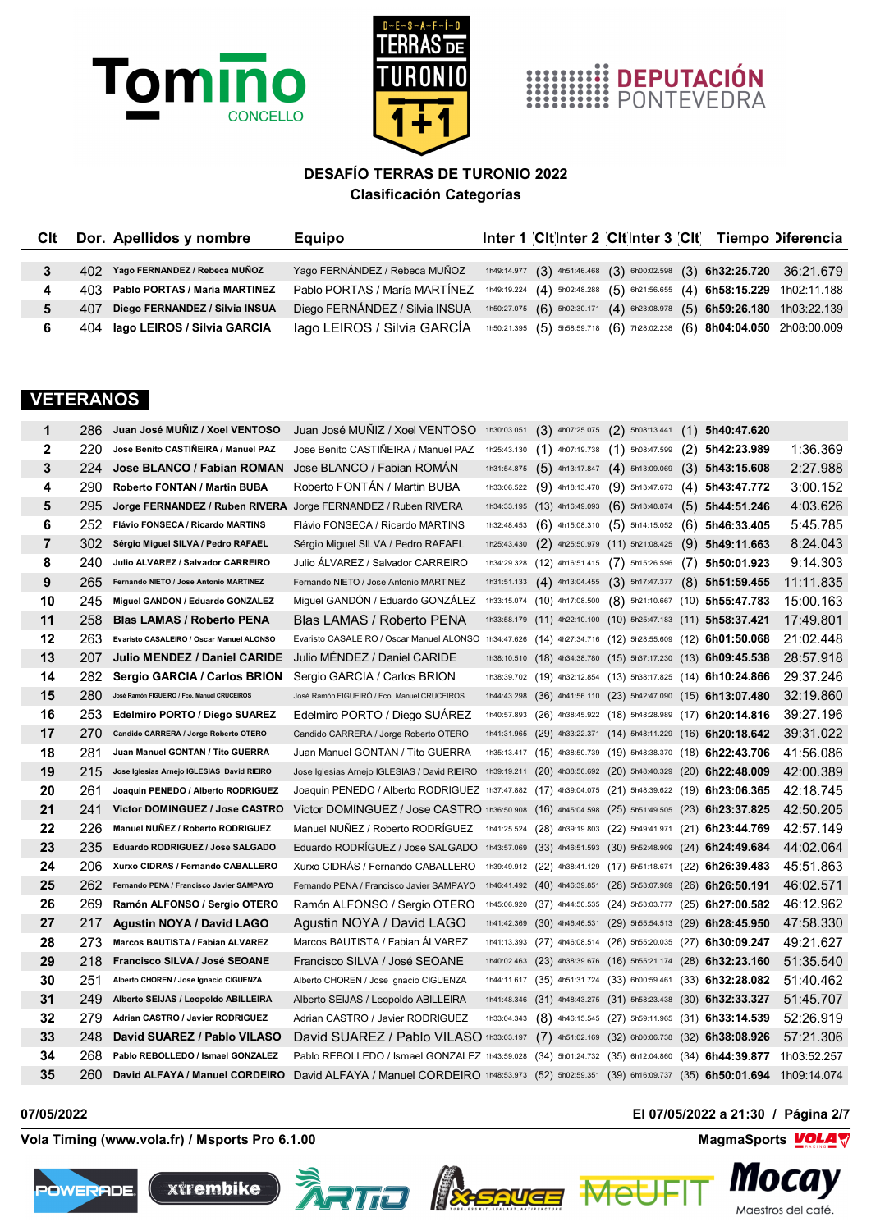





| Clt | Dor. Apellidos y nombre            | <b>Equipo</b>                  | Inter 1 Citinter 2 Citinter 3 Cit Tiempo Diferencia |  |                                                                         |
|-----|------------------------------------|--------------------------------|-----------------------------------------------------|--|-------------------------------------------------------------------------|
|     |                                    |                                |                                                     |  |                                                                         |
|     | 402 Yago FERNANDEZ / Rebeca MUÑOZ  | Yago FERNÁNDEZ / Rebeca MUÑOZ  |                                                     |  | 1h49:14.977 (3) 4h51:46.468 (3) 6h00:02.598 (3) 6h32:25.720 36:21.679   |
|     | 403 Pablo PORTAS / María MARTINEZ  | Pablo PORTAS / María MARTÍNEZ  |                                                     |  | 1h49:19.224 (4) 5h02:48.288 (5) 6h21:56.655 (4) 6h58:15.229 1h02:11.188 |
|     | 407 Diego FERNANDEZ / Silvia INSUA | Diego FERNÁNDEZ / Silvia INSUA |                                                     |  | 1h50:27.075 (6) 5h02:30.171 (4) 6h23:08.978 (5) 6h59:26.180 1h03:22.139 |
|     | 404 Iago LEIROS / Silvia GARCIA    | lago LEIROS / Silvia GARCÍA    |                                                     |  | 1h50:21.395 (5) 5h58:59.718 (6) 7h28:02.238 (6) 8h04:04.050 2h08:00.009 |

#### **VETERANOS**

| 1              | 286  | Juan José MUÑIZ / Xoel VENTOSO                                | Juan José MUNIZ / Xoel VENTOSO                                                                            |             | 1h30:03.051 $(3)$ 4h07:25.075 $(2)$ 5h08:13.441                |                                                         |      | $(1)$ 5h40:47.620  |             |
|----------------|------|---------------------------------------------------------------|-----------------------------------------------------------------------------------------------------------|-------------|----------------------------------------------------------------|---------------------------------------------------------|------|--------------------|-------------|
| $\mathbf{2}$   | 220  | Jose Benito CASTIÑEIRA / Manuel PAZ                           | Jose Benito CASTIÑEIRA / Manuel PAZ                                                                       | 1h25:43.130 | $(1)$ 4h07:19.738                                              | $(1)$ 5h08:47.599                                       |      | $(2)$ 5h42:23.989  | 1:36.369    |
| 3              | 224  | Jose BLANCO / Fabian ROMAN                                    | Jose BLANCO / Fabian ROMAN                                                                                | 1h31:54.875 | $(5)$ 4h13:17.847                                              | $(4)$ 5h13:09.069                                       |      | $(3)$ 5h43:15.608  | 2:27.988    |
| 4              | 290  | Roberto FONTAN / Martin BUBA                                  | Roberto FONTÁN / Martin BUBA                                                                              | 1h33:06.522 | $(9)$ 4h18:13.470                                              | $(9)$ 5h13:47.673                                       |      | $(4)$ 5h43:47.772  | 3:00.152    |
| 5              | 295  | Jorge FERNANDEZ / Ruben RIVERA Jorge FERNANDEZ / Ruben RIVERA |                                                                                                           |             | 1h34:33.195 $(13)$ 4h16:49.093 $(6)$ 5h13:48.874               |                                                         |      | $(5)$ 5h44:51.246  | 4:03.626    |
| 6              | 252  | Flávio FONSECA / Ricardo MARTINS                              | Flávio FONSECA / Ricardo MARTINS                                                                          | 1h32:48.453 | $(6)$ 4h15:08.310 $(5)$ 5h14:15.052                            |                                                         |      | $(6)$ 5h46:33.405  | 5:45.785    |
| $\overline{7}$ | 302  | Sérgio Miguel SILVA / Pedro RAFAEL                            | Sérgio Miguel SILVA / Pedro RAFAEL                                                                        | 1h25:43.430 | $(2)$ 4h25:50.979 $(11)$ 5h21:08.425                           |                                                         |      | $(9)$ 5h49:11.663  | 8:24.043    |
| 8              | 240  | Julio ALVAREZ / Salvador CARREIRO                             | Julio ALVAREZ / Salvador CARREIRO                                                                         |             | 1h34:29.328 (12) 4h16:51.415                                   | $(7)$ 5h15:26.596                                       | (7)  | 5h50:01.923        | 9:14.303    |
| 9              | 265  | Fernando NIETO / Jose Antonio MARTINEZ                        | Fernando NIETO / Jose Antonio MARTINEZ                                                                    | 1h31:51.133 | $(4)$ 4h13:04.455                                              | $(3)$ 5h17:47.377                                       |      | $(8)$ 5h51:59.455  | 11:11.835   |
| 10             | 245  | Miguel GANDON / Eduardo GONZALEZ                              | Miguel GANDON / Eduardo GONZALEZ                                                                          |             | 1h33:15.074 (10) 4h17:08.500 (8) 5h21:10.667 (10) 5h55:47.783  |                                                         |      |                    | 15:00.163   |
| 11             | 258  | <b>Blas LAMAS / Roberto PENA</b>                              | Blas LAMAS / Roberto PENA                                                                                 |             | 1h33:58.179 (11) 4h22:10.100 (10) 5h25:47.183 (11) 5h58:37.421 |                                                         |      |                    | 17:49.801   |
| 12             | 263  | Evaristo CASALEIRO / Oscar Manuel ALONSO                      | Evaristo CASALEIRO / Oscar Manuel ALONSO 1h34:47.626 (14) 4h27:34.716 (12) 5h28:55.609 (12) 6h01:50.068   |             |                                                                |                                                         |      |                    | 21:02.448   |
| 13             | 207  | Julio MENDEZ / Daniel CARIDE                                  | Julio MENDEZ / Daniel CARIDE                                                                              |             | 1h38:10.510 (18) 4h34:38.780 (15) 5h37:17.230 (13) 6h09:45.538 |                                                         |      |                    | 28:57.918   |
| 14             | 282  | Sergio GARCIA / Carlos BRION                                  | Sergio GARCIA / Carlos BRION                                                                              |             | 1h38:39.702 (19) 4h32:12.854 (13) 5h38:17.825 (14) 6h10:24.866 |                                                         |      |                    | 29:37.246   |
| 15             | 280  | José Ramón FIGUEIRO / Fco. Manuel CRUCEIROS                   | José Ramón FIGUEIRÓ / Fco. Manuel CRUCEIROS                                                               |             | 1h44:43.298 (36) 4h41:56.110 (23) 5h42:47.090 (15) 6h13:07.480 |                                                         |      |                    | 32:19.860   |
| 16             | 253. | Edelmiro PORTO / Diego SUAREZ                                 | Edelmiro PORTO / Diego SUAREZ                                                                             |             | 1h40:57.893 (26) 4h38:45.922 (18) 5h48:28.989 (17) 6h20:14.816 |                                                         |      |                    | 39:27.196   |
| 17             | 270. | Candido CARRERA / Jorge Roberto OTERO                         | Candido CARRERA / Jorge Roberto OTERO                                                                     |             | 1h41:31.965 (29) 4h33:22.371 (14) 5h48:11.229 (16) 6h20:18.642 |                                                         |      |                    | 39:31.022   |
| 18             | 281  | Juan Manuel GONTAN / Tito GUERRA                              | Juan Manuel GONTAN / Tito GUERRA                                                                          |             | 1h35:13.417 (15) 4h38:50.739 (19) 5h48:38.370 (18) 6h22:43.706 |                                                         |      |                    | 41:56.086   |
| 19             | 215  | Jose Iglesias Arnejo IGLESIAS David RIEIRO                    | Jose Iglesias Arnejo IGLESIAS / David RIEIRO                                                              |             | 1h39:19.211 (20) 4h38:56.692 (20) 5h48:40.329 (20) 6h22:48.009 |                                                         |      |                    | 42:00.389   |
| 20             | 261  | Joaquin PENEDO / Alberto RODRIGUEZ                            | Joaquin PENEDO / Alberto RODRIGUEZ 1h37:47.882 (17) 4h39:04.075 (21) 5h48:39.622 (19) 6h23:06.365         |             |                                                                |                                                         |      |                    | 42:18.745   |
| 21             | 241  | Victor DOMINGUEZ / Jose CASTRO                                | Victor DOMINGUEZ / Jose CASTRO 1h36:50.908 (16) 4h45:04.598 (25) 5h51:49.505 (23) 6h23:37.825             |             |                                                                |                                                         |      |                    | 42:50.205   |
| 22             | 226  | Manuel NUÑEZ / Roberto RODRIGUEZ                              | Manuel NUNEZ / Roberto RODRIGUEZ 1h41:25.524 (28) 4h39:19.803 (22) 5h49:41.971 (21) 6h23:44.769           |             |                                                                |                                                         |      |                    | 42:57.149   |
| 23             | 235  | Eduardo RODRIGUEZ / Jose SALGADO                              | Eduardo RODRIGUEZ / Jose SALGADO 1h43:57.069 (33) 4h46:51.593 (30) 5h52:48.909 (24) 6h24:49.684           |             |                                                                |                                                         |      |                    | 44:02.064   |
| 24             | 206  | Xurxo CIDRAS / Fernando CABALLERO                             | Xurxo CIDRAS / Fernando CABALLERO                                                                         |             | 1h39:49.912 (22) 4h38:41.129 (17) 5h51:18.671 (22) 6h26:39.483 |                                                         |      |                    | 45:51.863   |
| 25             | 262  | Fernando PENA / Francisco Javier SAMPAYO                      | Fernando PENA / Francisco Javier SAMPAYO                                                                  |             | 1h46:41.492 (40) 4h46:39.851 (28) 5h53:07.989 (26) 6h26:50.191 |                                                         |      |                    | 46:02.571   |
| 26             | 269  | Ramón ALFONSO / Sergio OTERO                                  | Ramón ALFONSO / Sergio OTERO                                                                              |             | 1h45:06.920 (37) 4h44:50.535 (24) 5h53:03.777                  |                                                         |      | $(25)$ 6h27:00.582 | 46:12.962   |
| 27             | 217  | Agustin NOYA / David LAGO                                     | Agustin NOYA / David LAGO                                                                                 |             | 1h41:42.369 (30) 4h46:46.531 (29) 5h55:54.513 (29) 6h28:45.950 |                                                         |      |                    | 47:58.330   |
| 28             | 273  | Marcos BAUTISTA / Fabian ALVAREZ                              | Marcos BAUTISTA / Fabian ÁLVAREZ                                                                          |             | 1h41:13.393 (27) 4h46:08.514 (26) 5h55:20.035 (27) 6h30:09.247 |                                                         |      |                    | 49:21.627   |
| 29             | 218  | Francisco SILVA / José SEOANE                                 | Francisco SILVA / José SEOANE                                                                             |             | 1h40:02.463 (23) 4h38:39.676 (16) 5h55:21.174 (28) 6h32:23.160 |                                                         |      |                    | 51:35.540   |
| 30             | 251  | Alberto CHOREN / Jose Ignacio CIGUENZA                        | Alberto CHOREN / Jose Ignacio CIGUENZA                                                                    |             | 1h44:11.617 (35) 4h51:31.724 (33) 6h00:59.461 (33) 6h32:28.082 |                                                         |      |                    | 51:40.462   |
| 31             | 249  | Alberto SEIJAS / Leopoldo ABILLEIRA                           | Alberto SEIJAS / Leopoldo ABILLEIRA                                                                       |             | 1h41:48.346 (31) 4h48:43.275 (31) 5h58:23.438 (30) 6h32:33.327 |                                                         |      |                    | 51:45.707   |
| 32             | 279. | Adrian CASTRO / Javier RODRIGUEZ                              | Adrian CASTRO / Javier RODRIGUEZ                                                                          | 1h33:04.343 |                                                                | $(8)$ 4h46:15.545 $(27)$ 5h59:11.965 $(31)$ 6h33:14.539 |      |                    | 52:26.919   |
| 33             | 248  | David SUAREZ / Pablo VILASO                                   | David SUAREZ / Pablo VILASO 1h33:03.197                                                                   |             |                                                                | $(7)$ 4h51:02.169 $(32)$ 6h00:06.738 $(32)$ 6h38:08.926 |      |                    | 57:21.306   |
| 34             | 268  | Pablo REBOLLEDO / Ismael GONZALEZ                             | Pablo REBOLLEDO / Ismael GONZALEZ 1h43:59.028 (34) 5h01:24.732 (35) 6h12:04.860                           |             |                                                                |                                                         | (34) | 6h44:39.877        | 1h03:52.257 |
| 35             | 260  | David ALFAYA / Manuel CORDEIRO                                | David ALFAYA / Manuel CORDEIRO 1h48:53.973 (52) 5h02:59.351 (39) 6h16:09.737 (35) 6h50:01.694 1h09:14.074 |             |                                                                |                                                         |      |                    |             |

**Vola Timing (www.vola.fr) / Msports Pro 6.1.00 MagmaSports MagmaSports MagmaSports MagmaSports MagmaSports MagmaSports MagmaSports MagmaSports MagmaSports MagmaSports MagmaSports MagmaSports Mag** 









Me

**07/05/2022 El 07/05/2022 a 21:30 / Página 2/7**

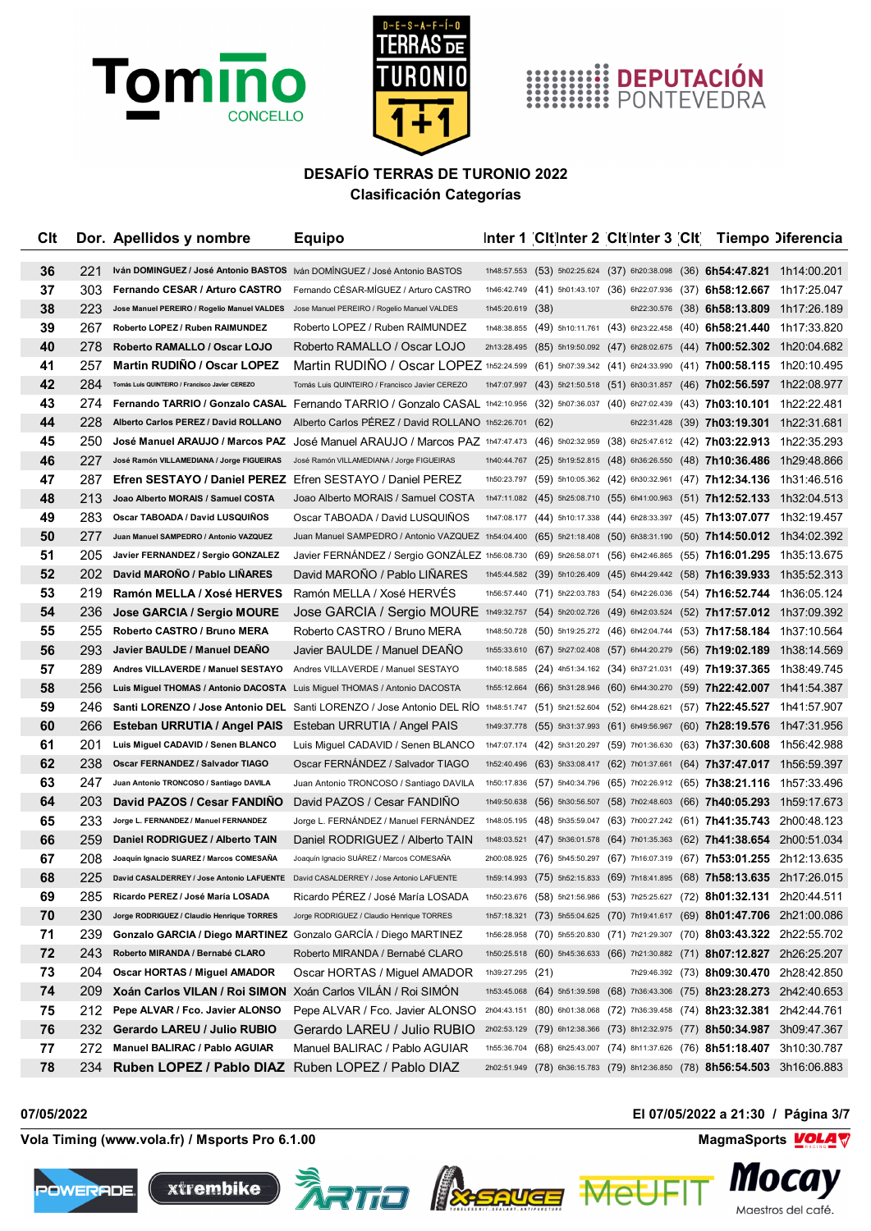



# EN DEPUTACIÓN

## **DESAFÍO TERRAS DE TURONIO 2022 Clasificación Categorías**

| Clt |     | Dor. Apellidos y nombre                                                                 | <b>Equipo</b>                                                                                                                              |                  | Inter 1 Cit Inter 2 Cit Inter 3 Cit Tiempo Diferencia                                   |                                                                      |  |                                                                                         |
|-----|-----|-----------------------------------------------------------------------------------------|--------------------------------------------------------------------------------------------------------------------------------------------|------------------|-----------------------------------------------------------------------------------------|----------------------------------------------------------------------|--|-----------------------------------------------------------------------------------------|
| 36  | 221 | Iván DOMINGUEZ / José Antonio BASTOS Iván DOMÍNGUEZ / José Antonio BASTOS               |                                                                                                                                            |                  | $1h48:57.553$ (53) $5h02:25.624$ (37) $6h20:38.098$ (36) <b>6h54:47.821</b> 1h14:00.201 |                                                                      |  |                                                                                         |
| 37  | 303 |                                                                                         | Fernando CESAR / Arturo CASTRO Fernando CÉSAR-MÍGUEZ / Arturo CASTRO                                                                       |                  | 1h46:42.749 (41) 5h01:43.107 (36) 6h22:07.936 (37) 6h58:12.667 1h17:25.047              |                                                                      |  |                                                                                         |
| 38  | 223 | Jose Manuel PEREIRO / Rogelio Manuel VALDES Jose Manuel PEREIRO / Rogelio Manuel VALDES |                                                                                                                                            | 1h45:20.619 (38) |                                                                                         |                                                                      |  | $6h22:30.576$ (38) 6h58:13.809 1h17:26.189                                              |
| 39  | 267 | Roberto LOPEZ / Ruben RAIMUNDEZ                                                         | Roberto LOPEZ / Ruben RAIMUNDEZ                                                                                                            |                  | 1h48:38.855 (49) 5h10:11.761 (43) 6h23:22.458 (40) 6h58:21.440 1h17:33.820              |                                                                      |  |                                                                                         |
| 40  | 278 | Roberto RAMALLO / Oscar LOJO                                                            | Roberto RAMALLO / Oscar LOJO                                                                                                               |                  |                                                                                         |                                                                      |  | 2h13:28.495 (85) 5h19:50.092 (47) 6h28:02.675 (44) 7h00:52.302 1h20:04.682              |
| 41  | 257 | <b>Martin RUDINO / Oscar LOPEZ</b>                                                      | Martin RUDINO / Oscar LOPEZ 1h52:24.599 (61) 5h07:39.342 (41) 6h24:33.990 (41) 7h00:58.115 1h20:10.495                                     |                  |                                                                                         |                                                                      |  |                                                                                         |
| 42  | 284 | Tomás Luis QUINTEIRO / Francisco Javier CEREZO                                          | Tomás Luis QUINTEIRO / Francisco Javier CEREZO                                                                                             |                  | 1h47:07.997 (43) 5h21:50.518 (51) 6h30:31.857 (46) 7h02:56.597 1h22:08.977              |                                                                      |  |                                                                                         |
| 43  | 274 |                                                                                         | Fernando TARRIO / Gonzalo CASAL Fernando TARRIO / Gonzalo CASAL 1h42:10.956 (32) 5h07:36.037 (40) 6h27:02.439 (43) 7h03:10.101 1h22:22.481 |                  |                                                                                         |                                                                      |  |                                                                                         |
| 44  | 228 |                                                                                         | Alberto Carlos PEREZ / David ROLLANO Alberto Carlos PEREZ / David ROLLANO 1h52:26.701 (62)                                                 |                  |                                                                                         |                                                                      |  | 6h22:31.428 (39) 7h03:19.301 1h22:31.681                                                |
| 45  | 250 |                                                                                         | José Manuel ARAUJO / Marcos PAZ José Manuel ARAUJO / Marcos PAZ 1h47:47.473 (46) 5h02:32.959 (38) 6h25:47.612 (42) 7h03:22.913 1h22:35.293 |                  |                                                                                         |                                                                      |  |                                                                                         |
| 46  | 227 | José Ramón VILLAMEDIANA / Jorge FIGUEIRAS                                               | José Ramón VILLAMEDIANA / Jorge FIGUEIRAS                                                                                                  |                  |                                                                                         |                                                                      |  | 1h40:44.767 (25) 5h19:52.815 (48) 6h36:26.550 (48) <b>7h10:36.486</b> 1h29:48.866       |
| 47  | 287 | <b>Efren SESTAYO / Daniel PEREZ</b> Efren SESTAYO / Daniel PEREZ                        |                                                                                                                                            |                  | 1h50:23.797 (59) 5h10:05.362 (42) 6h30:32.961 (47) 7h12:34.136 1h31:46.516              |                                                                      |  |                                                                                         |
| 48  | 213 | Joao Alberto MORAIS / Samuel COSTA                                                      | Joao Alberto MORAIS / Samuel COSTA                                                                                                         |                  |                                                                                         |                                                                      |  | 1h47:11.082 (45) 5h25:08.710 (55) 6h41:00.963 (51) 7h12:52.133 1h32:04.513              |
| 49  | 283 | Oscar TABOADA / David LUSQUIÑOS                                                         | Oscar TABOADA / David LUSQUIÑOS                                                                                                            |                  | 1h47:08.177 (44) 5h10:17.338 (44) 6h28:33.397 (45) 7h13:07.077 1h32:19.457              |                                                                      |  |                                                                                         |
| 50  | 277 | Juan Manuel SAMPEDRO / Antonio VAZQUEZ                                                  | Juan Manuel SAMPEDRO / Antonio VAZQUEZ 1h54:04.400 (65) 5h21:18.408 (50) 6h38:31.190 (50) 7h14:50.012 1h34:02.392                          |                  |                                                                                         |                                                                      |  |                                                                                         |
| 51  | 205 | Javier FERNANDEZ / Sergio GONZALEZ                                                      | Javier FERNANDEZ / Sergio GONZALEZ 1h56:08.730 (69) 5h26:58.071 (56) 6h42:46.865 (55) 7h16:01.295 1h35:13.675                              |                  |                                                                                         |                                                                      |  |                                                                                         |
| 52  | 202 | David MARONO / Pablo LINARES                                                            | David MARONO / Pablo LINARES                                                                                                               |                  | $1h45:44.582$ (39) $5h10:26.409$ (45) $6h44:29.442$ (58) <b>7h16:39.933</b> 1h35:52.313 |                                                                      |  |                                                                                         |
| 53  | 219 | Ramón MELLA / Xosé HERVES                                                               | Ramón MELLA / Xosé HERVÉS                                                                                                                  |                  | 1h56:57.440 (71) 5h22:03.783 (54) 6h42:26.036 (54) 7h16:52.744 1h36:05.124              |                                                                      |  |                                                                                         |
| 54  | 236 | Jose GARCIA / Sergio MOURE                                                              | Jose GARCIA / Sergio MOURE 1h49:32.757 (54) 5h20:02.726 (49) 6h42:03.524 (52) 7h17:57.012 1h37:09.392                                      |                  |                                                                                         |                                                                      |  |                                                                                         |
| 55  | 255 | Roberto CASTRO / Bruno MERA                                                             | Roberto CASTRO / Bruno MERA                                                                                                                |                  | 1h48:50.728 (50) 5h19:25.272 (46) 6h42:04.744 (53) 7h17:58.184 1h37:10.564              |                                                                      |  |                                                                                         |
| 56  | 293 | Javier BAULDE / Manuel DEANO                                                            | Javier BAULDE / Manuel DEANO                                                                                                               |                  | 1h55:33.610 (67) 5h27:02.408 (57) 6h44:20.279 (56) 7h19:02.189 1h38:14.569              |                                                                      |  |                                                                                         |
| 57  | 289 | Andres VILLAVERDE / Manuel SESTAYO                                                      | Andres VILLAVERDE / Manuel SESTAYO                                                                                                         |                  | 1h40:18.585 (24) 4h51:34.162 (34) 6h37:21.031 (49) 7h19:37.365 1h38:49.745              |                                                                      |  |                                                                                         |
| 58  | 256 | Luis Miguel THOMAS / Antonio DACOSTA Luis Miguel THOMAS / Antonio DACOSTA               |                                                                                                                                            |                  |                                                                                         |                                                                      |  | 1h55:12.664 (66) 5h31:28.946 (60) 6h44:30.270 (59) <b>7h22:42.007</b> 1h41:54.387       |
| 59  | 246 |                                                                                         | Santi LORENZO / Jose Antonio DEL Santi LORENZO / Jose Antonio DEL RIO 1h48:51.747                                                          |                  |                                                                                         | $(51)$ 5h21:52.604 $(52)$ 6h44:28.621 $(57)$ 7h22:45.527 1h41:57.907 |  |                                                                                         |
| 60  | 266 | Esteban URRUTIA / Angel PAIS                                                            | Esteban URRUTIA / Angel PAIS                                                                                                               |                  |                                                                                         |                                                                      |  | 1h49:37.778 (55) 5h31:37.993 (61) 6h49:56.967 (60) 7h28:19.576 1h47:31.956              |
| 61  | 201 | Luis Miguel CADAVID / Senen BLANCO                                                      | Luis Miguel CADAVID / Senen BLANCO                                                                                                         |                  | 1h47:07.174 (42) 5h31:20.297 (59) 7h01:36.630 (63) 7h37:30.608 1h56:42.988              |                                                                      |  |                                                                                         |
| 62  | 238 | Oscar FERNANDEZ / Salvador TIAGO                                                        | Oscar FERNANDEZ / Salvador TIAGO                                                                                                           | 1h52:40.496      |                                                                                         |                                                                      |  | (63) 5h33:08.417 (62) 7h01:37.661 (64) 7h37:47.017 1h56:59.397                          |
| 63  | 247 | Juan Antonio TRONCOSO / Santiago DAVILA                                                 | Juan Antonio TRONCOSO / Santiago DAVILA                                                                                                    |                  | 1h50:17.836 (57) 5h40:34.796 (65) 7h02:26.912 (65) 7h38:21.116 1h57:33.496              |                                                                      |  |                                                                                         |
| 64  | 203 | David PAZOS / Cesar FANDINO                                                             | David PAZOS / Cesar FANDINO                                                                                                                | 1h49:50.638      |                                                                                         |                                                                      |  | $(56)$ 5h30:56.507 $(58)$ 7h02:48.603 $(66)$ 7h40:05.293 1h59:17.673                    |
| 65  | 233 | Jorge L. FERNANDEZ / Manuel FERNANDEZ                                                   | Jorge L. FERNÁNDEZ / Manuel FERNÁNDEZ                                                                                                      |                  | 1h48:05.195 (48) 5h35:59.047 (63) 7h00:27.242 (61) 7h41:35.743 2h00:48.123              |                                                                      |  |                                                                                         |
| 66  | 259 | Daniel RODRIGUEZ / Alberto TAIN                                                         | Daniel RODRIGUEZ / Alberto TAIN                                                                                                            |                  |                                                                                         |                                                                      |  | $1h48:03.521$ (47) $5h36:01.578$ (64) $7h01:35.363$ (62) <b>7h41:38.654</b> 2h00:51.034 |
| 67  | 208 | Joaquín Ignacio SUAREZ / Marcos COMESAÑA                                                | Joaquín Ignacio SUÁREZ / Marcos COMESAÑA                                                                                                   | 2h00:08.925      |                                                                                         | (76) 5h45:50.297 (67) 7h16:07.319 (67) 7h53:01.255 2h12:13.635       |  |                                                                                         |
| 68  | 225 | David CASALDERREY / Jose Antonio LAFUENTE David CASALDERREY / Jose Antonio LAFUENTE     |                                                                                                                                            |                  | 1h59:14.993 (75) 5h52:15.833 (69) 7h18:41.895 (68) 7h58:13.635 2h17:26.015              |                                                                      |  |                                                                                         |
| 69  | 285 | Ricardo PEREZ / José María LOSADA                                                       | Ricardo PÉREZ / José María LOSADA                                                                                                          |                  | 1h50:23.676 (58) 5h21:56.986 (53) 7h25:25.627 (72) 8h01:32.131 2h20:44.511              |                                                                      |  |                                                                                         |
| 70  | 230 | Jorge RODRIGUEZ / Claudio Henrique TORRES                                               | Jorge RODRIGUEZ / Claudio Henrique TORRES                                                                                                  |                  |                                                                                         |                                                                      |  | 1h57:18.321 (73) 5h55:04.625 (70) 7h19:41.617 (69) 8h01:47.706 2h21:00.086              |
| 71  | 239 | Gonzalo GARCIA / Diego MARTINEZ Gonzalo GARCÍA / Diego MARTINEZ                         |                                                                                                                                            |                  | 1h56:28.958 (70) 5h55:20.830 (71) 7h21:29.307 (70) 8h03:43.322 2h22:55.702              |                                                                      |  |                                                                                         |
| 72  | 243 | Roberto MIRANDA / Bernabé CLARO                                                         | Roberto MIRANDA / Bernabé CLARO                                                                                                            |                  |                                                                                         |                                                                      |  | 1h50:25.518 (60) 5h45:36.633 (66) 7h21:30.882 (71) 8h07:12.827 2h26:25.207              |
| 73  | 204 | Oscar HORTAS / Miguel AMADOR                                                            | Oscar HORTAS / Miguel AMADOR                                                                                                               | 1h39:27.295 (21) |                                                                                         |                                                                      |  | 7h29:46.392 (73) 8h09:30.470 2h28:42.850                                                |
| 74  | 209 | Xoán Carlos VILAN / Roi SIMON Xoán Carlos VILÁN / Roi SIMÓN                             |                                                                                                                                            |                  | 1h53:45.068 (64) 5h51:39.598 (68) 7h36:43.306 (75) 8h23:28.273 2h42:40.653              |                                                                      |  |                                                                                         |
| 75  | 212 | Pepe ALVAR / Fco. Javier ALONSO                                                         | Pepe ALVAR / Fco. Javier ALONSO                                                                                                            |                  | 2h04:43.151 (80) 6h01:38.068 (72) 7h36:39.458 (74) 8h23:32.381 2h42:44.761              |                                                                      |  |                                                                                         |
| 76  | 232 | Gerardo LAREU / Julio RUBIO                                                             | Gerardo LAREU / Julio RUBIO                                                                                                                |                  |                                                                                         |                                                                      |  | 2h02:53.129 (79) 6h12:38.366 (73) 8h12:32.975 (77) 8h50:34.987 3h09:47.367              |
| 77  | 272 | Manuel BALIRAC / Pablo AGUIAR                                                           | Manuel BALIRAC / Pablo AGUIAR                                                                                                              |                  | 1h55:36.704 (68) 6h25:43.007 (74) 8h11:37.626 (76) 8h51:18.407 3h10:30.787              |                                                                      |  |                                                                                         |
| 78  |     | 234 Ruben LOPEZ / Pablo DIAZ Ruben LOPEZ / Pablo DIAZ                                   |                                                                                                                                            |                  |                                                                                         |                                                                      |  | 2h02:51.949 (78) 6h36:15.783 (79) 8h12:36.850 (78) 8h56:54.503 3h16:06.883              |

**Vola Timing (www.vola.fr) / Msports Pro 6.1.00 MagmaSports MagmaSports MagmaSports MagmaSports MagmaSports MagmaSports MagmaSports MagmaSports MagmaSports MagmaSports MagmaSports MagmaSports Mag** 









**07/05/2022 El 07/05/2022 a 21:30 / Página 3/7**

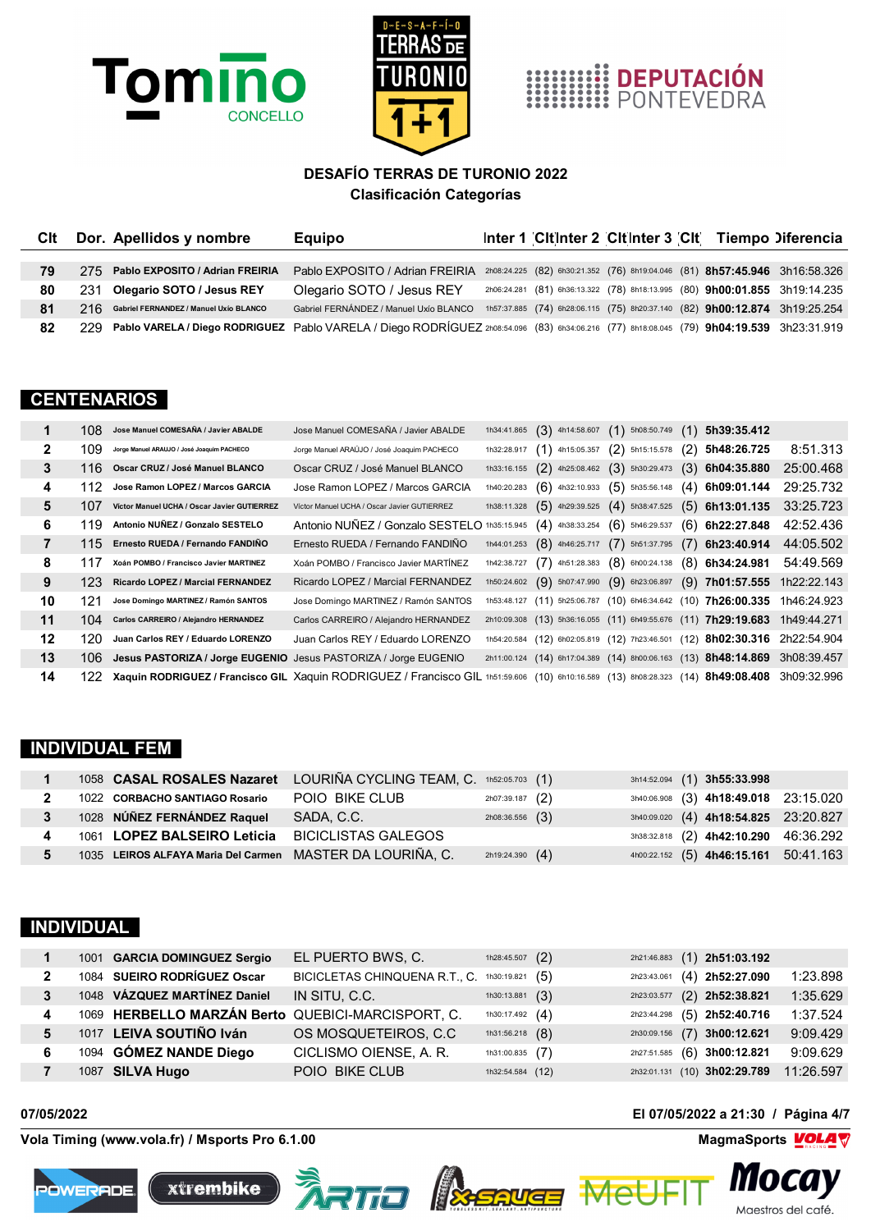





| Clt | Dor. Apellidos y nombre                    | <b>Equipo</b>                                                                                                                            |  |  | Inter 1 Citinter 2 Citinter 3 Cit Tiempo Diferencia                        |
|-----|--------------------------------------------|------------------------------------------------------------------------------------------------------------------------------------------|--|--|----------------------------------------------------------------------------|
|     |                                            |                                                                                                                                          |  |  |                                                                            |
| 79  | 275 Pablo EXPOSITO / Adrian FREIRIA        | Pablo EXPOSITO / Adrian FREIRIA                                                                                                          |  |  | 2h08:24.225 (82) 6h30:21.352 (76) 8h19:04.046 (81) 8h57:45.946 3h16:58.326 |
| 80  | 231 Olegario SOTO / Jesus REY              | Olegario SOTO / Jesus REY                                                                                                                |  |  | 2h06:24.281 (81) 6h36:13.322 (78) 8h18:13.995 (80) 9h00:01.855 3h19:14.235 |
| 81  | 216 Gabriel FERNANDEZ / Manuel Uxío BLANCO | Gabriel FERNÁNDEZ / Manuel Uxío BLANCO                                                                                                   |  |  | 1h57:37.885 (74) 6h28:06.115 (75) 8h20:37.140 (82) 9h00:12.874 3h19:25.254 |
| 82  | 229.                                       | Pablo VARELA / Diego RODRIGUEZ Pablo VARELA / Diego RODRÍGUEZ 2h08:54.096 (83) 6h34:06.216 (77) 8h18:08.045 (79) 9h04:19.539 3h23:31.919 |  |  |                                                                            |

#### **CENTENARIOS**

|    | 108.             | Jose Manuel COMESAÑA / Javier ABALDE                            | Jose Manuel COMESAÑA / Javier ABALDE                                                                                             | 1h34:41.865 |                   | $(3)$ 4h14:58.607 $(1)$ 5h08:50.749 $(1)$             |     | 5h39:35.412                                                                |             |
|----|------------------|-----------------------------------------------------------------|----------------------------------------------------------------------------------------------------------------------------------|-------------|-------------------|-------------------------------------------------------|-----|----------------------------------------------------------------------------|-------------|
| 2  | 109              | Jorge Manuel ARAUJO / José Joaquim PACHECO                      | Jorge Manuel ARAÚJO / José Joaquim PACHECO                                                                                       | 1h32:28.917 | $(1)$ 4h15:05.357 | $(2)$ 5h15:15.578                                     | (2) | 5h48:26.725                                                                | 8:51.313    |
| 3  |                  | 116 Oscar CRUZ / José Manuel BLANCO                             | Oscar CRUZ / José Manuel BLANCO                                                                                                  | 1h33:16.155 |                   | $(2)$ 4h25:08.462 $(3)$ 5h30:29.473                   |     | $(3)$ 6h04:35.880                                                          | 25:00.468   |
| 4  | 112              | Jose Ramon LOPEZ / Marcos GARCIA                                | Jose Ramon LOPEZ / Marcos GARCIA                                                                                                 | 1h40:20.283 | $(6)$ 4h32:10.933 | $(5)$ 5h35:56.148                                     |     | $(4)$ 6h09:01.144                                                          | 29:25.732   |
| 5  | 107              | Victor Manuel UCHA / Oscar Javier GUTIERREZ                     | Víctor Manuel UCHA / Oscar Javier GUTIERREZ                                                                                      | 1h38:11.328 |                   | $(5)$ 4h29:39.525 $(4)$ 5h38:47.525                   |     | $(5)$ 6h13:01.135                                                          | 33:25.723   |
| 6  | 119              | Antonio NUÑEZ / Gonzalo SESTELO                                 | Antonio NUÑEZ / Gonzalo SESTELO 1h35:15.945                                                                                      |             | $(4)$ 4h38:33.254 | $(6)$ 5h46:29.537                                     |     | $(6)$ 6h22:27.848                                                          | 42:52.436   |
| 7  | 115              | Ernesto RUEDA / Fernando FANDIÑO                                | Ernesto RUEDA / Fernando FANDIÑO                                                                                                 | 1h44:01.253 | $(8)$ 4h46:25.717 | $(7)$ 5h51:37.795                                     |     | $(7)$ 6h23:40.914                                                          | 44:05.502   |
| 8  | 117              | Xoán POMBO / Francisco Javier MARTINEZ                          | Xoán POMBO / Francisco Javier MARTÍNEZ                                                                                           | 1h42:38.727 |                   | $(7)$ 4h51:28.383 $(8)$ 6h00:24.138 $(8)$ 6h34:24.981 |     |                                                                            | 54:49.569   |
| 9  | 123 <sub>1</sub> | Ricardo LOPEZ / Marcial FERNANDEZ                               | Ricardo LOPEZ / Marcial FERNANDEZ                                                                                                | 1h50:24.602 |                   | $(9)$ 5h07:47.990 $(9)$ 6h23:06.897                   |     | $(9)$ 7h01:57.555 1h22:22.143                                              |             |
| 10 | 121              | Jose Domingo MARTINEZ / Ramón SANTOS                            | Jose Domingo MARTINEZ / Ramón SANTOS                                                                                             |             |                   |                                                       |     | 1h53:48.127 (11) 5h25:06.787 (10) 6h46:34.642 (10) 7h26:00.335             | 1h46:24.923 |
| 11 | 104              | Carlos CARREIRO / Alejandro HERNANDEZ                           | Carlos CARREIRO / Alejandro HERNANDEZ                                                                                            |             |                   |                                                       |     | 2h10:09.308 (13) 5h36:16.055 (11) 6h49:55.676 (11) 7h29:19.683             | 1h49:44.271 |
| 12 | 120              | Juan Carlos REY / Eduardo LORENZO                               | Juan Carlos REY / Eduardo LORENZO                                                                                                |             |                   |                                                       |     | 1h54:20.584 (12) 6h02:05.819 (12) 7h23:46.501 (12) 8h02:30.316 2h22:54.904 |             |
| 13 | 106.             | Jesus PASTORIZA / Jorge EUGENIO Jesus PASTORIZA / Jorge EUGENIO |                                                                                                                                  |             |                   |                                                       |     | 2h11:00.124 (14) 6h17:04.389 (14) 8h00:06.163 (13) 8h48:14.869 3h08:39.457 |             |
| 14 | 122.             |                                                                 | Xaquin RODRIGUEZ / Francisco GIL Xaquin RODRIGUEZ / Francisco GIL 1h51:59.606 (10) 6h10:16.589 (13) 8h08:28.323 (14) 8h49:08.408 |             |                   |                                                       |     |                                                                            | 3h09:32.996 |

#### **INDIVIDUAL FEM**

|                | 1058 CASAL ROSALES Nazaret LOURIÑA CYCLING TEAM, C. 1h52:05.703 (1) |                            |                     |  | 3h14:52.094 (1) 3h55:33.998           |  |
|----------------|---------------------------------------------------------------------|----------------------------|---------------------|--|---------------------------------------|--|
|                | 1022 CORBACHO SANTIAGO Rosario                                      | POIO BIKE CLUB             | $2h07:39.187$ $(2)$ |  | 3h40:06.908 (3) 4h18:49.018 23:15.020 |  |
| 3 <sup>1</sup> | 1028 NÚÑEZ FERNÁNDEZ Raquel                                         | SADA, C.C.                 | $2h08:36.556$ $(3)$ |  | 3h40:09.020 (4) 4h18:54.825 23:20.827 |  |
|                | 1061 LOPEZ BALSEIRO Leticia                                         | <b>BICICLISTAS GALEGOS</b> |                     |  | 3h38:32.818 (2) 4h42:10.290 46:36.292 |  |
|                | 1035 LEIROS ALFAYA Maria Del Carmen                                 | MASTER DA LOURIÑA, C.      | $2h19:24.390$ $(4)$ |  | 4h00:22.152 (5) 4h46:15.161 50:41.163 |  |

## **INDIVIDUAL**

|  | 1001 GARCIA DOMINGUEZ Sergio                      | EL PUERTO BWS, C.                             | 1h28:45.507 $(2)$ |  | 2h21:46.883 (1) 2h51:03.192  |           |
|--|---------------------------------------------------|-----------------------------------------------|-------------------|--|------------------------------|-----------|
|  | 1084 SUEIRO RODRÍGUEZ Oscar                       | BICICLETAS CHINQUENA R.T., C. 1h30:19.821 (5) |                   |  | 2h23:43.061 (4) 2h52:27.090  | 1:23.898  |
|  | 1048 VÁZQUEZ MARTÍNEZ Daniel                      | IN SITU, C.C.                                 | 1h30:13.881 $(3)$ |  | 2h23:03.577 (2) 2h52:38.821  | 1:35.629  |
|  | 1069 HERBELLO MARZÁN Berto QUEBICI-MARCISPORT, C. |                                               | 1h30:17.492 $(4)$ |  | 2h23:44.298 (5) 2h52:40.716  | 1:37.524  |
|  | 1017 LEIVA SOUTIÑO Iván                           | OS MOSQUETEIROS, C.C.                         | 1h31:56.218 $(8)$ |  | 2h30:09.156 (7) 3h00:12.621  | 9:09.429  |
|  | 1094 GÓMEZ NANDE Diego                            | CICLISMO OIENSE, A. R.                        | 1h31:00.835 $(7)$ |  | 2h27:51.585 (6) 3h00:12.821  | 9:09.629  |
|  | 1087 SILVA Hugo                                   | POIO BIKE CLUB                                | 1h32:54.584 (12)  |  | 2h32:01.131 (10) 3h02:29.789 | 11:26.597 |

**Vola Timing (www.vola.fr) / Msports Pro 6.1.00 MagmaSports MagmaSports MagmaSports MagmaSports MagmaSports MagmaSports MagmaSports MagmaSports MagmaSports MagmaSports MagmaSports MagmaSports Mag** 









**07/05/2022 El 07/05/2022 a 21:30 / Página 4/7**



*III*ULU*J* Maestros del café.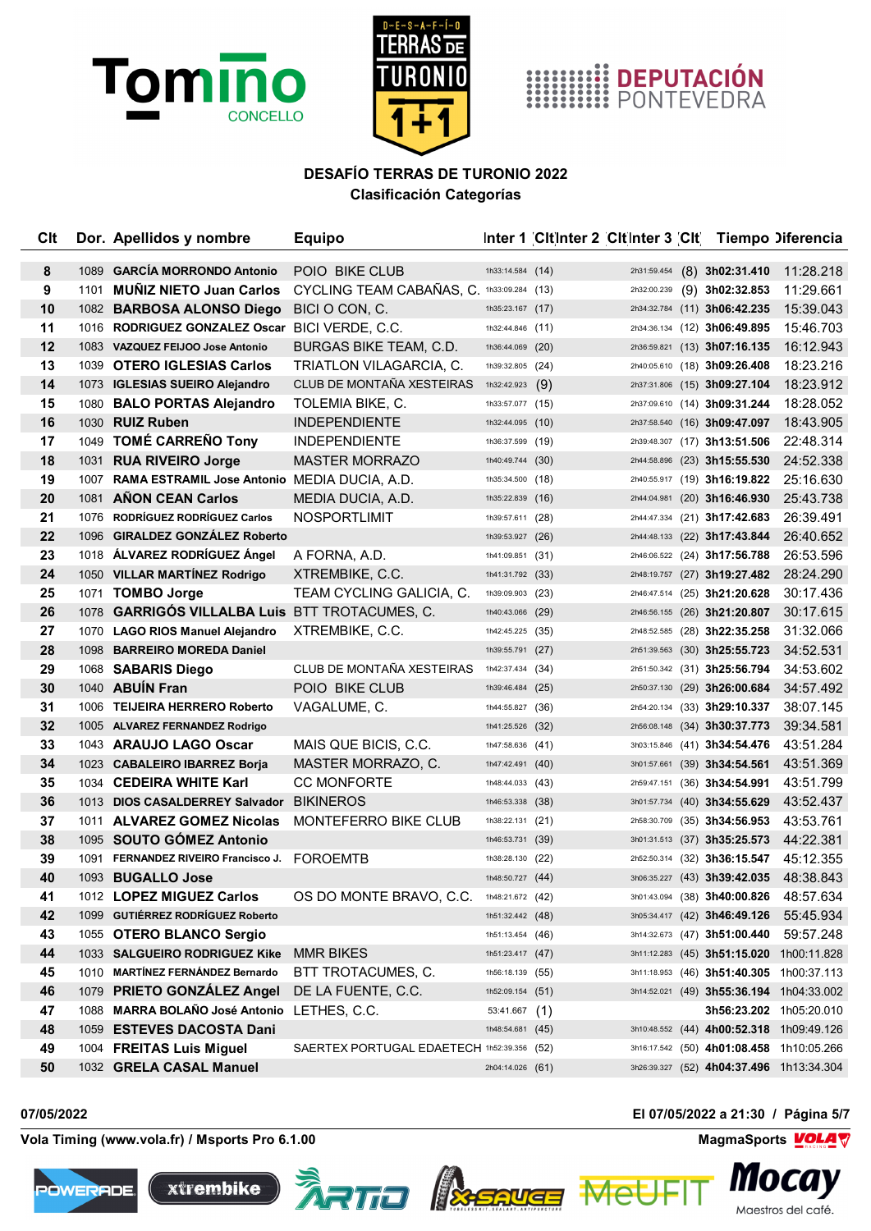





| Clt    |      | Dor. Apellidos y nombre                        | <b>Equipo</b>                              |                  | Inter 1 Cit Inter 2 Cit Inter 3 Cit Tiempo Diferencia |                            |                                        |                                          |
|--------|------|------------------------------------------------|--------------------------------------------|------------------|-------------------------------------------------------|----------------------------|----------------------------------------|------------------------------------------|
|        | 1089 | <b>GARCÍA MORRONDO Antonio</b>                 | POIO BIKE CLUB                             |                  |                                                       |                            |                                        |                                          |
| 8<br>9 |      | 1101 MUNIZ NIETO Juan Carlos                   | CYCLING TEAM CABAÑAS, C. 1h33:09.284 (13)  | 1h33:14.584 (14) |                                                       | 2h31:59.454<br>2h32:00.239 | $(8)$ 3h02:31.410<br>$(9)$ 3h02:32.853 | 11:28.218<br>11:29.661                   |
| 10     |      | 1082 BARBOSA ALONSO Diego                      | BICI O CON, C.                             | 1h35:23.167 (17) |                                                       |                            | 2h34:32.784 (11) 3h06:42.235           | 15:39.043                                |
| 11     |      | 1016 RODRIGUEZ GONZALEZ Oscar BICI VERDE, C.C. |                                            | 1h32:44.846 (11) |                                                       |                            | 2h34:36.134 (12) 3h06:49.895           | 15:46.703                                |
| 12     |      | 1083 VAZQUEZ FEIJOO Jose Antonio               | <b>BURGAS BIKE TEAM, C.D.</b>              | 1h36:44.069 (20) |                                                       |                            | 2h36:59.821 (13) 3h07:16.135           | 16:12.943                                |
| 13     |      | 1039 OTERO IGLESIAS Carlos                     | TRIATLON VILAGARCIA, C.                    | 1h39:32.805 (24) |                                                       |                            | 2h40:05.610 (18) 3h09:26.408           | 18:23.216                                |
| 14     |      | 1073 IGLESIAS SUEIRO Alejandro                 | CLUB DE MONTAÑA XESTEIRAS                  | 1h32:42.923      | (9)                                                   |                            | 2h37:31.806 (15) 3h09:27.104           | 18:23.912                                |
| 15     |      | 1080 BALO PORTAS Alejandro                     | TOLEMIA BIKE, C.                           | 1h33:57.077 (15) |                                                       |                            | 2h37:09.610 (14) 3h09:31.244           | 18:28.052                                |
| 16     |      | 1030 RUIZ Ruben                                | <b>INDEPENDIENTE</b>                       | 1h32:44.095 (10) |                                                       |                            | 2h37:58.540 (16) 3h09:47.097           | 18:43.905                                |
| 17     |      | 1049 TOMÉ CARREÑO Tony                         | <b>INDEPENDIENTE</b>                       | 1h36:37.599 (19) |                                                       |                            | 2h39:48.307 (17) 3h13:51.506           | 22:48.314                                |
| 18     |      | 1031 RUA RIVEIRO Jorge                         | <b>MASTER MORRAZO</b>                      | 1h40:49.744 (30) |                                                       |                            | 2h44:58.896 (23) 3h15:55.530           | 24:52.338                                |
| 19     | 1007 | <b>RAMA ESTRAMIL Jose Antonio</b>              | MEDIA DUCIA, A.D.                          | 1h35:34.500 (18) |                                                       |                            | 2h40:55.917 (19) 3h16:19.822           | 25:16.630                                |
| 20     |      | 1081 AÑON CEAN Carlos                          | MEDIA DUCIA, A.D.                          | 1h35:22.839 (16) |                                                       |                            | 2h44:04.981 (20) 3h16:46.930           | 25:43.738                                |
| 21     |      | 1076 RODRÍGUEZ RODRÍGUEZ Carlos                | NOSPORTLIMIT                               | 1h39:57.611 (28) |                                                       |                            | 2h44:47.334 (21) 3h17:42.683           | 26:39.491                                |
| 22     |      | 1096 GIRALDEZ GONZÁLEZ Roberto                 |                                            | 1h39:53.927 (26) |                                                       |                            | 2h44:48.133 (22) 3h17:43.844           | 26:40.652                                |
| 23     |      | 1018 ÁLVAREZ RODRÍGUEZ Ángel                   | A FORNA, A.D.                              | 1h41:09.851 (31) |                                                       |                            | 2h46:06.522 (24) 3h17:56.788           | 26:53.596                                |
| 24     |      | 1050 VILLAR MARTÍNEZ Rodrigo                   | XTREMBIKE, C.C.                            | 1h41:31.792 (33) |                                                       |                            | 2h48:19.757 (27) 3h19:27.482           | 28:24.290                                |
| 25     |      | 1071 TOMBO Jorge                               | TEAM CYCLING GALICIA, C.                   | 1h39:09.903 (23) |                                                       |                            | 2h46:47.514 (25) 3h21:20.628           | 30:17.436                                |
| 26     |      | 1078 GARRIGÓS VILLALBA Luis BTT TROTACUMES, C. |                                            | 1h40:43.066 (29) |                                                       |                            | 2h46:56.155 (26) 3h21:20.807           | 30:17.615                                |
| 27     |      | 1070 LAGO RIOS Manuel Alejandro                | XTREMBIKE, C.C.                            | 1h42:45.225 (35) |                                                       |                            | 2h48:52.585 (28) 3h22:35.258           | 31:32.066                                |
| 28     |      | 1098 BARREIRO MOREDA Daniel                    |                                            | 1h39:55.791 (27) |                                                       |                            | 2h51:39.563 (30) 3h25:55.723           | 34:52.531                                |
| 29     |      | 1068 SABARIS Diego                             | CLUB DE MONTAÑA XESTEIRAS                  | 1h42:37.434 (34) |                                                       |                            | 2h51:50.342 (31) 3h25:56.794           | 34:53.602                                |
| 30     |      | 1040 ABUIN Fran                                | POIO BIKE CLUB                             | 1h39:46.484 (25) |                                                       |                            | 2h50:37.130 (29) 3h26:00.684           | 34:57.492                                |
| 31     |      | 1006 TEIJEIRA HERRERO Roberto                  | VAGALUME, C.                               | 1h44:55.827 (36) |                                                       |                            | 2h54:20.134 (33) 3h29:10.337           | 38:07.145                                |
| 32     |      | 1005 ALVAREZ FERNANDEZ Rodrigo                 |                                            | 1h41:25.526 (32) |                                                       |                            | 2h56:08.148 (34) 3h30:37.773           | 39:34.581                                |
| 33     |      | 1043 ARAUJO LAGO Oscar                         | MAIS QUE BICIS, C.C.                       | 1h47:58.636 (41) |                                                       |                            | 3h03:15.846 (41) 3h34:54.476           | 43:51.284                                |
| 34     |      | 1023 CABALEIRO IBARREZ Borja                   | MASTER MORRAZO, C.                         | 1h47:42.491 (40) |                                                       |                            | 3h01:57.661 (39) 3h34:54.561           | 43:51.369                                |
| 35     |      | 1034 CEDEIRA WHITE Karl                        | <b>CC MONFORTE</b>                         | 1h48:44.033 (43) |                                                       |                            | 2h59:47.151 (36) 3h34:54.991           | 43:51.799                                |
| 36     |      | 1013 DIOS CASALDERREY Salvador                 | <b>BIKINEROS</b>                           | 1h46:53.338 (38) |                                                       |                            | 3h01:57.734 (40) 3h34:55.629           | 43:52.437                                |
| 37     |      | 1011 ALVAREZ GOMEZ Nicolas                     | MONTEFERRO BIKE CLUB                       | 1h38:22.131 (21) |                                                       |                            | 2h58:30.709 (35) 3h34:56.953           | 43:53.761                                |
| 38     |      | 1095 SOUTO GÓMEZ Antonio                       |                                            | 1h46:53.731 (39) |                                                       |                            | 3h01:31.513 (37) 3h35:25.573           | 44:22.381                                |
| 39     | 1091 | FERNANDEZ RIVEIRO Francisco J.                 | <b>FOROEMTB</b>                            | 1h38:28.130 (22) |                                                       |                            | 2h52:50.314 (32) 3h36:15.547           | 45:12.355                                |
| 40     |      | 1093 BUGALLO Jose                              |                                            | 1h48:50.727 (44) |                                                       |                            | 3h06:35.227 (43) 3h39:42.035           | 48:38.843                                |
| 41     |      | 1012 LOPEZ MIGUEZ Carlos                       | OS DO MONTE BRAVO, C.C.                    | 1h48:21.672 (42) |                                                       |                            | 3h01:43.094 (38) 3h40:00.826           | 48:57.634                                |
| 42     |      | 1099 GUTIÉRREZ RODRÍGUEZ Roberto               |                                            | 1h51:32.442 (48) |                                                       |                            | 3h05:34.417 (42) 3h46:49.126           | 55:45.934                                |
| 43     |      | 1055 OTERO BLANCO Sergio                       |                                            | 1h51:13.454 (46) |                                                       |                            | 3h14:32.673 (47) 3h51:00.440           | 59:57.248                                |
| 44     |      | 1033 SALGUEIRO RODRIGUEZ Kike                  | <b>MMR BIKES</b>                           | 1h51:23.417 (47) |                                                       |                            |                                        | 3h11:12.283 (45) 3h51:15.020 1h00:11.828 |
| 45     |      | 1010 MARTÍNEZ FERNÁNDEZ Bernardo               | BTT TROTACUMES, C.                         | 1h56:18.139 (55) |                                                       |                            |                                        | 3h11:18.953 (46) 3h51:40.305 1h00:37.113 |
| 46     |      | 1079 PRIETO GONZÁLEZ Angel                     | DE LA FUENTE, C.C.                         | 1h52:09.154 (51) |                                                       |                            |                                        | 3h14:52.021 (49) 3h55:36.194 1h04:33.002 |
| 47     |      | 1088 MARRA BOLAÑO José Antonio LETHES, C.C.    |                                            | 53:41.667(1)     |                                                       |                            |                                        | 3h56:23.202 1h05:20.010                  |
| 48     |      | 1059 ESTEVES DACOSTA Dani                      |                                            | 1h48:54.681 (45) |                                                       |                            |                                        | 3h10:48.552 (44) 4h00:52.318 1h09:49.126 |
| 49     |      | 1004 FREITAS Luis Miguel                       | SAERTEX PORTUGAL EDAETECH 1h52:39.356 (52) |                  |                                                       |                            |                                        | 3h16:17.542 (50) 4h01:08.458 1h10:05.266 |
| 50     |      | 1032 GRELA CASAL Manuel                        |                                            | 2h04:14.026 (61) |                                                       |                            |                                        | 3h26:39.327 (52) 4h04:37.496 1h13:34.304 |

**ÀRTIO** A<del>SSAVEE</del>

**Vola Timing (www.vola.fr) / Msports Pro 6.1.00 MagmaSports MagmaSports MagmaSports MagmaSports MagmaSports MagmaSports MagmaSports MagmaSports MagmaSports MagmaSports MagmaSports MagmaSports Magm** 

xtrembike







Maestros del café.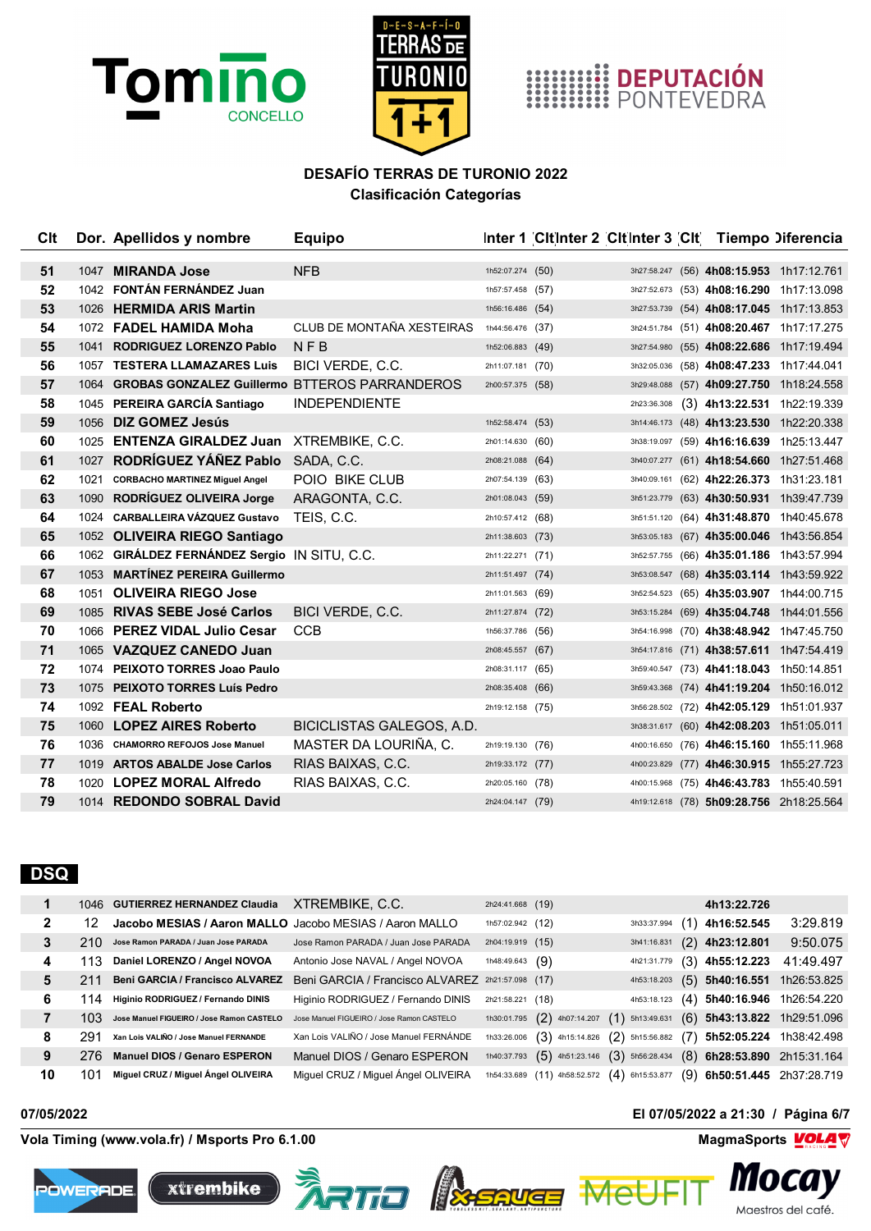



## **HIMMINE DEPUTACIÓN**<br>**HIMMINE PONTEVEDRA**

## **DESAFÍO TERRAS DE TURONIO 2022 Clasificación Categorías**

| Clt |      | Dor. Apellidos y nombre                            | <b>Equipo</b>             |                  | Inter 1 Cit Inter 2 Cit Inter 3 Cit Tiempo Diferencia |             |                                          |                                          |
|-----|------|----------------------------------------------------|---------------------------|------------------|-------------------------------------------------------|-------------|------------------------------------------|------------------------------------------|
|     |      |                                                    |                           |                  |                                                       |             |                                          |                                          |
| 51  |      | 1047 MIRANDA Jose                                  | <b>NFB</b>                | 1h52:07.274 (50) |                                                       |             |                                          | 3h27:58.247 (56) 4h08:15.953 1h17:12.761 |
| 52  |      | 1042 FONTÁN FERNÁNDEZ Juan                         |                           | 1h57:57.458 (57) |                                                       |             | 3h27:52.673 (53) 4h08:16.290 1h17:13.098 |                                          |
| 53  |      | 1026 HERMIDA ARIS Martin                           |                           | 1h56:16.486 (54) |                                                       |             | 3h27:53.739 (54) 4h08:17.045 1h17:13.853 |                                          |
| 54  |      | 1072 FADEL HAMIDA Moha                             | CLUB DE MONTAÑA XESTEIRAS | 1h44:56.476 (37) |                                                       |             | 3h24:51.784 (51) 4h08:20.467 1h17:17.275 |                                          |
| 55  |      | 1041 RODRIGUEZ LORENZO Pablo                       | $N$ F B                   | 1h52:06.883 (49) |                                                       |             | 3h27:54.980 (55) 4h08:22.686 1h17:19.494 |                                          |
| 56  |      | 1057 TESTERA LLAMAZARES Luis                       | BICI VERDE, C.C.          | 2h11:07.181 (70) |                                                       | 3h32:05.036 | (58) 4h08:47.233 1h17:44.041             |                                          |
| 57  |      | 1064 GROBAS GONZALEZ Guillermo BTTEROS PARRANDEROS |                           | 2h00:57.375 (58) |                                                       |             | 3h29:48.088 (57) 4h09:27.750 1h18:24.558 |                                          |
| 58  |      | 1045 PEREIRA GARCÍA Santiago                       | <b>INDEPENDIENTE</b>      |                  |                                                       | 2h23:36.308 | (3) 4h13:22.531 1h22:19.339              |                                          |
| 59  |      | 1056 DIZ GOMEZ Jesús                               |                           | 1h52:58.474 (53) |                                                       |             | 3h14:46.173 (48) 4h13:23.530 1h22:20.338 |                                          |
| 60  | 1025 | <b>ENTENZA GIRALDEZ Juan XTREMBIKE, C.C.</b>       |                           | 2h01:14.630 (60) |                                                       |             | 3h38:19.097 (59) 4h16:16.639 1h25:13.447 |                                          |
| 61  | 1027 | RODRÍGUEZ YÁÑEZ Pablo                              | SADA, C.C.                | 2h08:21.088 (64) |                                                       |             | 3h40:07.277 (61) 4h18:54.660 1h27:51.468 |                                          |
| 62  | 1021 | <b>CORBACHO MARTINEZ Miguel Angel</b>              | POIO BIKE CLUB            | 2h07:54.139 (63) |                                                       |             | 3h40:09.161 (62) 4h22:26.373 1h31:23.181 |                                          |
| 63  |      | 1090 RODRÍGUEZ OLIVEIRA Jorge                      | ARAGONTA, C.C.            | 2h01:08.043 (59) |                                                       | 3h51:23.779 | (63) 4h30:50.931 1h39:47.739             |                                          |
| 64  |      | 1024 CARBALLEIRA VÁZQUEZ Gustavo                   | TEIS, C.C.                | 2h10:57.412 (68) |                                                       |             | 3h51:51.120 (64) 4h31:48.870 1h40:45.678 |                                          |
| 65  |      | 1052 OLIVEIRA RIEGO Santiago                       |                           | 2h11:38.603 (73) |                                                       |             | 3h53:05.183 (67) 4h35:00.046 1h43:56.854 |                                          |
| 66  |      | 1062 GIRÁLDEZ FERNÁNDEZ Sergio IN SITU, C.C.       |                           | 2h11:22.271 (71) |                                                       | 3h52:57.755 | (66) 4h35:01.186 1h43:57.994             |                                          |
| 67  |      | 1053 MARTÍNEZ PEREIRA Guillermo                    |                           | 2h11:51.497 (74) |                                                       |             | 3h53:08.547 (68) 4h35:03.114 1h43:59.922 |                                          |
| 68  |      | 1051 OLIVEIRA RIEGO Jose                           |                           | 2h11:01.563 (69) |                                                       |             | 3h52:54.523 (65) 4h35:03.907 1h44:00.715 |                                          |
| 69  |      | 1085 RIVAS SEBE José Carlos                        | BICI VERDE, C.C.          | 2h11:27.874 (72) |                                                       | 3h53:15.284 | (69) 4h35:04.748 1h44:01.556             |                                          |
| 70  | 1066 | <b>PEREZ VIDAL Julio Cesar</b>                     | <b>CCB</b>                | 1h56:37.786 (56) |                                                       | 3h54:16.998 | (70) 4h38:48.942 1h47:45.750             |                                          |
| 71  |      | 1065 VAZQUEZ CANEDO Juan                           |                           | 2h08:45.557 (67) |                                                       |             | 3h54:17.816 (71) 4h38:57.611 1h47:54.419 |                                          |
| 72  |      | 1074 PEIXOTO TORRES Joao Paulo                     |                           | 2h08:31.117 (65) |                                                       |             | 3h59:40.547 (73) 4h41:18.043 1h50:14.851 |                                          |
| 73  |      | 1075 PEIXOTO TORRES Luís Pedro                     |                           | 2h08:35.408 (66) |                                                       |             | 3h59:43.368 (74) 4h41:19.204 1h50:16.012 |                                          |
| 74  |      | 1092 FEAL Roberto                                  |                           | 2h19:12.158 (75) |                                                       |             | 3h56:28.502 (72) 4h42:05.129 1h51:01.937 |                                          |
| 75  |      | 1060 LOPEZ AIRES Roberto                           | BICICLISTAS GALEGOS, A.D. |                  |                                                       |             |                                          | 3h38:31.617 (60) 4h42:08.203 1h51:05.011 |
| 76  |      | 1036 CHAMORRO REFOJOS Jose Manuel                  | MASTER DA LOURIÑA, C.     | 2h19:19.130 (76) |                                                       |             | 4h00:16.650 (76) 4h46:15.160 1h55:11.968 |                                          |
| 77  |      | 1019 ARTOS ABALDE Jose Carlos                      | RIAS BAIXAS, C.C.         | 2h19:33.172 (77) |                                                       |             | 4h00:23.829 (77) 4h46:30.915 1h55:27.723 |                                          |
| 78  |      | 1020 LOPEZ MORAL Alfredo                           | RIAS BAIXAS, C.C.         | 2h20:05.160 (78) |                                                       |             | 4h00:15.968 (75) 4h46:43.783 1h55:40.591 |                                          |
| 79  |      | 1014 REDONDO SOBRAL David                          |                           | 2h24:04.147 (79) |                                                       |             | 4h19:12.618 (78) 5h09:28.756 2h18:25.564 |                                          |

#### **DSQ**

|    |      | 1046 GUTIERREZ HERNANDEZ Claudia                        | XTREMBIKE, C.C.                                  | 2h24:41.668 (19)  |                                                 |                                                                         |     | 4h13:22.726                   |           |
|----|------|---------------------------------------------------------|--------------------------------------------------|-------------------|-------------------------------------------------|-------------------------------------------------------------------------|-----|-------------------------------|-----------|
| 2  | 12   | Jacobo MESIAS / Aaron MALLO Jacobo MESIAS / Aaron MALLO |                                                  | 1h57:02.942 (12)  |                                                 | 3h33:37.994                                                             | (1) | 4h16:52.545                   | 3:29.819  |
| 3  | 210  | Jose Ramon PARADA / Juan Jose PARADA                    | Jose Ramon PARADA / Juan Jose PARADA             | 2h04:19.919 (15)  |                                                 | 3h41:16.831                                                             |     | $(2)$ 4h23:12.801             | 9:50.075  |
| 4  | 113. | Daniel LORENZO / Angel NOVOA                            | Antonio Jose NAVAL / Angel NOVOA                 | 1h48:49.643 $(9)$ |                                                 | 4h21:31.779                                                             |     | $(3)$ 4h55:12.223             | 41:49.497 |
| 5  | 211  | <b>Beni GARCIA / Francisco ALVAREZ</b>                  | Beni GARCIA / Francisco ALVAREZ 2h21:57.098 (17) |                   |                                                 | 4h53:18.203                                                             |     | $(5)$ 5h40:16.551 1h26:53.825 |           |
| 6  | 114  | Higinio RODRIGUEZ / Fernando DINIS                      | Higinio RODRIGUEZ / Fernando DINIS               | 2h21:58.221 (18)  |                                                 | 4h53:18.123                                                             |     | $(4)$ 5h40:16.946 1h26:54.220 |           |
|    | 103. | Jose Manuel FIGUEIRO / Jose Ramon CASTELO               | Jose Manuel FIGUEIRO / Jose Ramon CASTELO        | 1h30:01.795       |                                                 | $(2)$ 4h07:14.207 $(1)$ 5h13:49.631                                     |     | $(6)$ 5h43:13.822 1h29:51.096 |           |
| 8  | 291  | Xan Lois VALIÑO / Jose Manuel FERNANDE                  | Xan Lois VALIÑO / Jose Manuel FERNÁNDE           |                   |                                                 | 1h33:26.006 (3) 4h15:14.826 (2) 5h15:56.882 (7) 5h52:05.224 1h38:42.498 |     |                               |           |
| 9  | 276. | <b>Manuel DIOS / Genaro ESPERON</b>                     | Manuel DIOS / Genaro ESPERON                     |                   | 1h40:37.793 $(5)$ 4h51:23.146 $(3)$ 5h56:28.434 |                                                                         |     | (8) 6h28:53.890 2h15:31.164   |           |
| 10 | 101  | Miguel CRUZ / Miguel Ángel OLIVEIRA                     | Miguel CRUZ / Miguel Ángel OLIVEIRA              |                   |                                                 | 1h54:33.689 $(11)$ 4h58:52.572 $(4)$ 6h15:53.877                        |     | (9) 6h50:51.445 2h37:28.719   |           |

**Vola Timing (www.vola.fr) / Msports Pro 6.1.00 MagmaSports MagmaSports MagmaSports MagmaSports MagmaSports MagmaSports MagmaSports MagmaSports MagmaSports MagmaSports MagmaSports MagmaSports Mag** 









**07/05/2022 El 07/05/2022 a 21:30 / Página 6/7**